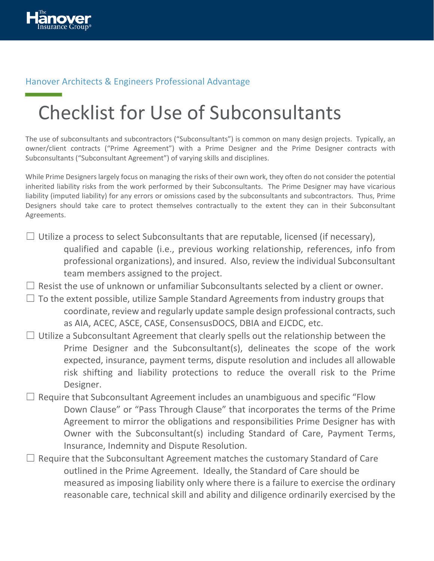

## Hanover Architects & Engineers Professional Advantage

## Checklist for Use of Subconsultants

The use of subconsultants and subcontractors ("Subconsultants") is common on many design projects. Typically, an owner/client contracts ("Prime Agreement") with a Prime Designer and the Prime Designer contracts with Subconsultants ("Subconsultant Agreement") of varying skills and disciplines.

While Prime Designers largely focus on managing the risks of their own work, they often do not consider the potential inherited liability risks from the work performed by their Subconsultants. The Prime Designer may have vicarious liability (imputed liability) for any errors or omissions cased by the subconsultants and subcontractors. Thus, Prime Designers should take care to protect themselves contractually to the extent they can in their Subconsultant Agreements.

- $\Box$  Utilize a process to select Subconsultants that are reputable, licensed (if necessary), qualified and capable (i.e., previous working relationship, references, info from professional organizations), and insured. Also, review the individual Subconsultant team members assigned to the project.
- $\Box$  Resist the use of unknown or unfamiliar Subconsultants selected by a client or owner.
- $\Box$  To the extent possible, utilize Sample Standard Agreements from industry groups that coordinate, review and regularly update sample design professional contracts, such as AIA, ACEC, ASCE, CASE, ConsensusDOCS, DBIA and EJCDC, etc.
- $\Box$  Utilize a Subconsultant Agreement that clearly spells out the relationship between the Prime Designer and the Subconsultant(s), delineates the scope of the work expected, insurance, payment terms, dispute resolution and includes all allowable risk shifting and liability protections to reduce the overall risk to the Prime Designer.
- $\Box$  Require that Subconsultant Agreement includes an unambiguous and specific "Flow Down Clause" or "Pass Through Clause" that incorporates the terms of the Prime Agreement to mirror the obligations and responsibilities Prime Designer has with Owner with the Subconsultant(s) including Standard of Care, Payment Terms, Insurance, Indemnity and Dispute Resolution.
- $\Box$  Require that the Subconsultant Agreement matches the customary Standard of Care outlined in the Prime Agreement. Ideally, the Standard of Care should be measured as imposing liability only where there is a failure to exercise the ordinary reasonable care, technical skill and ability and diligence ordinarily exercised by the